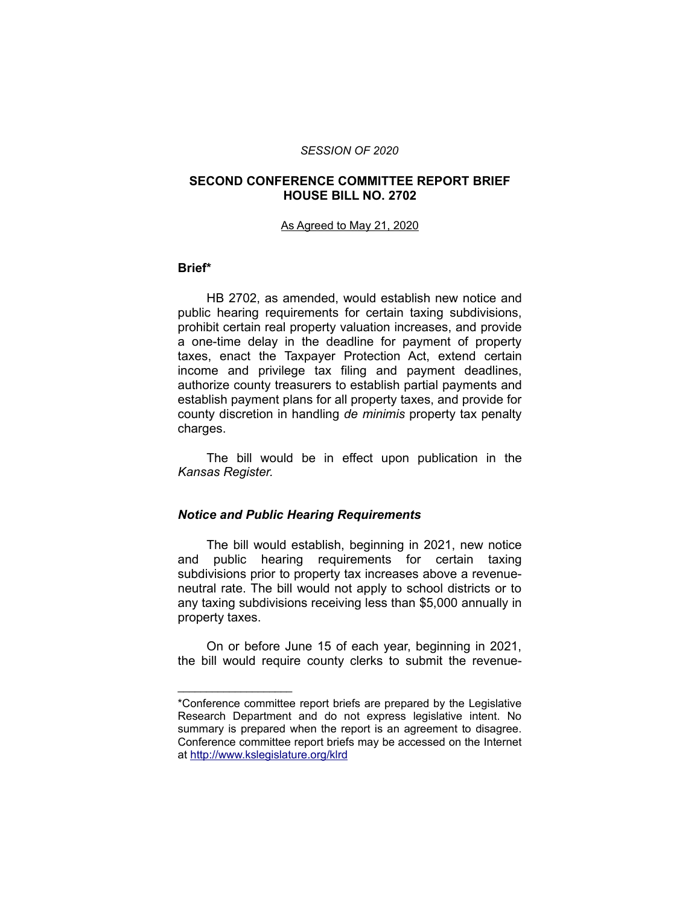#### *SESSION OF 2020*

### **SECOND CONFERENCE COMMITTEE REPORT BRIEF HOUSE BILL NO. 2702**

#### As Agreed to May 21, 2020

#### **Brief\***

HB 2702, as amended, would establish new notice and public hearing requirements for certain taxing subdivisions, prohibit certain real property valuation increases, and provide a one-time delay in the deadline for payment of property taxes, enact the Taxpayer Protection Act, extend certain income and privilege tax filing and payment deadlines, authorize county treasurers to establish partial payments and establish payment plans for all property taxes, and provide for county discretion in handling *de minimis* property tax penalty charges.

The bill would be in effect upon publication in the *Kansas Register.*

### *Notice and Public Hearing Requirements*

\_\_\_\_\_\_\_\_\_\_\_\_\_\_\_\_\_\_\_\_

The bill would establish, beginning in 2021, new notice and public hearing requirements for certain taxing subdivisions prior to property tax increases above a revenueneutral rate. The bill would not apply to school districts or to any taxing subdivisions receiving less than \$5,000 annually in property taxes.

On or before June 15 of each year, beginning in 2021, the bill would require county clerks to submit the revenue-

<sup>\*</sup>Conference committee report briefs are prepared by the Legislative Research Department and do not express legislative intent. No summary is prepared when the report is an agreement to disagree. Conference committee report briefs may be accessed on the Internet at<http://www.kslegislature.org/klrd>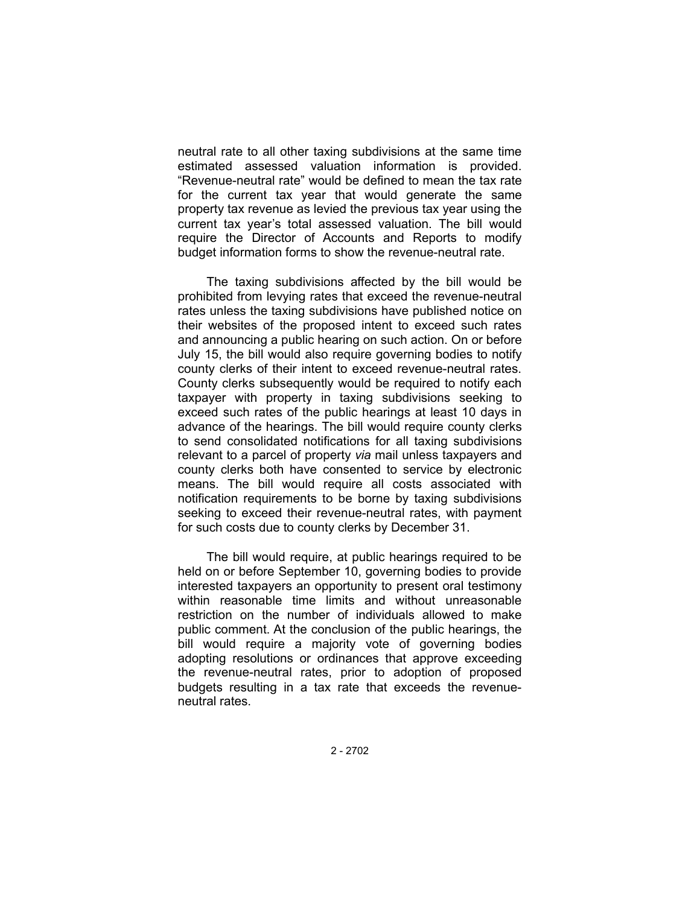neutral rate to all other taxing subdivisions at the same time estimated assessed valuation information is provided. "Revenue-neutral rate" would be defined to mean the tax rate for the current tax year that would generate the same property tax revenue as levied the previous tax year using the current tax year's total assessed valuation. The bill would require the Director of Accounts and Reports to modify budget information forms to show the revenue-neutral rate.

The taxing subdivisions affected by the bill would be prohibited from levying rates that exceed the revenue-neutral rates unless the taxing subdivisions have published notice on their websites of the proposed intent to exceed such rates and announcing a public hearing on such action. On or before July 15, the bill would also require governing bodies to notify county clerks of their intent to exceed revenue-neutral rates. County clerks subsequently would be required to notify each taxpayer with property in taxing subdivisions seeking to exceed such rates of the public hearings at least 10 days in advance of the hearings. The bill would require county clerks to send consolidated notifications for all taxing subdivisions relevant to a parcel of property *via* mail unless taxpayers and county clerks both have consented to service by electronic means. The bill would require all costs associated with notification requirements to be borne by taxing subdivisions seeking to exceed their revenue-neutral rates, with payment for such costs due to county clerks by December 31.

The bill would require, at public hearings required to be held on or before September 10, governing bodies to provide interested taxpayers an opportunity to present oral testimony within reasonable time limits and without unreasonable restriction on the number of individuals allowed to make public comment. At the conclusion of the public hearings, the bill would require a majority vote of governing bodies adopting resolutions or ordinances that approve exceeding the revenue-neutral rates, prior to adoption of proposed budgets resulting in a tax rate that exceeds the revenueneutral rates.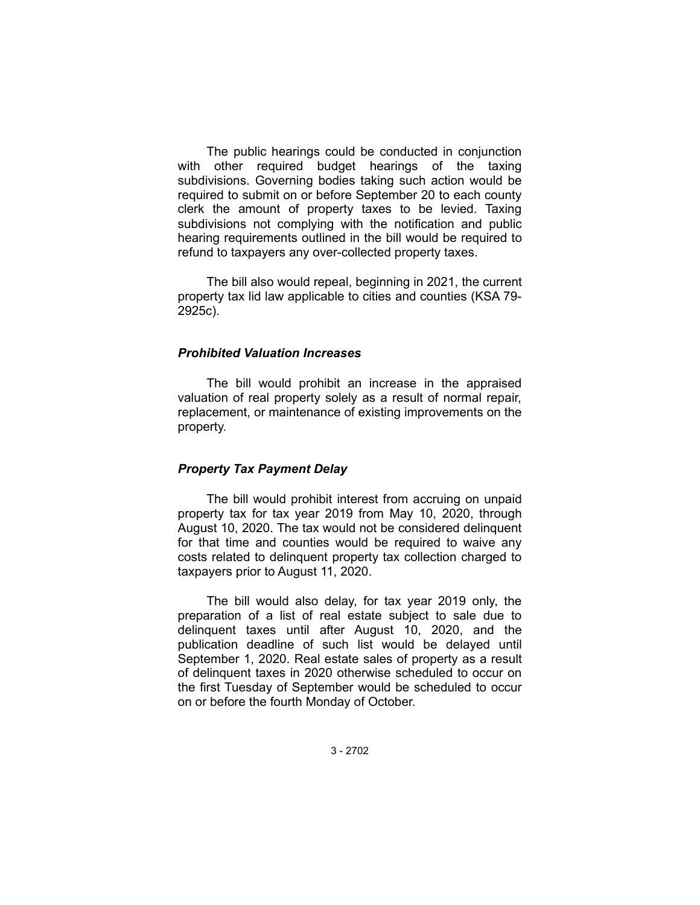The public hearings could be conducted in conjunction with other required budget hearings of the taxing subdivisions. Governing bodies taking such action would be required to submit on or before September 20 to each county clerk the amount of property taxes to be levied. Taxing subdivisions not complying with the notification and public hearing requirements outlined in the bill would be required to refund to taxpayers any over-collected property taxes.

The bill also would repeal, beginning in 2021, the current property tax lid law applicable to cities and counties (KSA 79- 2925c).

### *Prohibited Valuation Increases*

The bill would prohibit an increase in the appraised valuation of real property solely as a result of normal repair, replacement, or maintenance of existing improvements on the property.

#### *Property Tax Payment Delay*

The bill would prohibit interest from accruing on unpaid property tax for tax year 2019 from May 10, 2020, through August 10, 2020. The tax would not be considered delinquent for that time and counties would be required to waive any costs related to delinquent property tax collection charged to taxpayers prior to August 11, 2020.

The bill would also delay, for tax year 2019 only, the preparation of a list of real estate subject to sale due to delinquent taxes until after August 10, 2020, and the publication deadline of such list would be delayed until September 1, 2020. Real estate sales of property as a result of delinquent taxes in 2020 otherwise scheduled to occur on the first Tuesday of September would be scheduled to occur on or before the fourth Monday of October.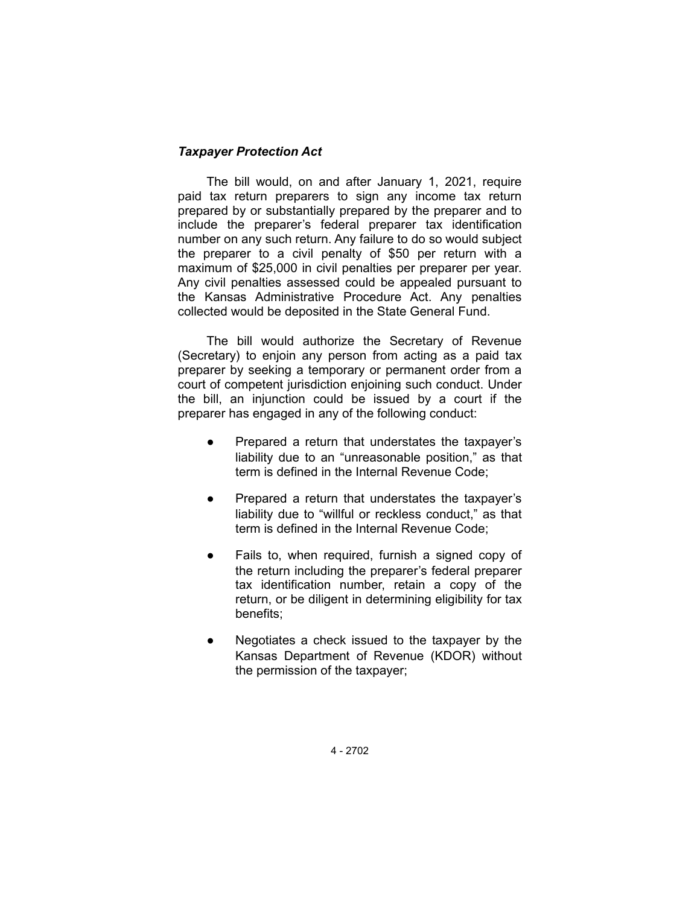# *Taxpayer Protection Act*

The bill would, on and after January 1, 2021, require paid tax return preparers to sign any income tax return prepared by or substantially prepared by the preparer and to include the preparer's federal preparer tax identification number on any such return. Any failure to do so would subject the preparer to a civil penalty of \$50 per return with a maximum of \$25,000 in civil penalties per preparer per year. Any civil penalties assessed could be appealed pursuant to the Kansas Administrative Procedure Act. Any penalties collected would be deposited in the State General Fund.

The bill would authorize the Secretary of Revenue (Secretary) to enjoin any person from acting as a paid tax preparer by seeking a temporary or permanent order from a court of competent jurisdiction enjoining such conduct. Under the bill, an injunction could be issued by a court if the preparer has engaged in any of the following conduct:

- Prepared a return that understates the taxpayer's liability due to an "unreasonable position," as that term is defined in the Internal Revenue Code;
- Prepared a return that understates the taxpayer's liability due to "willful or reckless conduct," as that term is defined in the Internal Revenue Code;
- Fails to, when required, furnish a signed copy of the return including the preparer's federal preparer tax identification number, retain a copy of the return, or be diligent in determining eligibility for tax benefits;
- Negotiates a check issued to the taxpayer by the Kansas Department of Revenue (KDOR) without the permission of the taxpayer;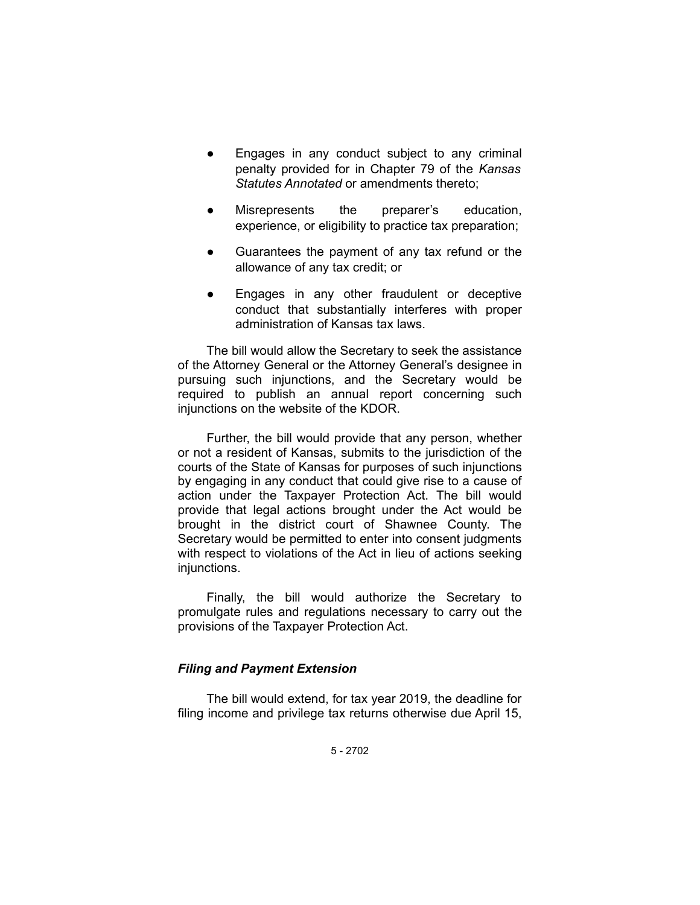- Engages in any conduct subject to any criminal penalty provided for in Chapter 79 of the *Kansas Statutes Annotated* or amendments thereto;
- Misrepresents the preparer's education, experience, or eligibility to practice tax preparation;
- Guarantees the payment of any tax refund or the allowance of any tax credit; or
- Engages in any other fraudulent or deceptive conduct that substantially interferes with proper administration of Kansas tax laws.

The bill would allow the Secretary to seek the assistance of the Attorney General or the Attorney General's designee in pursuing such injunctions, and the Secretary would be required to publish an annual report concerning such injunctions on the website of the KDOR.

Further, the bill would provide that any person, whether or not a resident of Kansas, submits to the jurisdiction of the courts of the State of Kansas for purposes of such injunctions by engaging in any conduct that could give rise to a cause of action under the Taxpayer Protection Act. The bill would provide that legal actions brought under the Act would be brought in the district court of Shawnee County. The Secretary would be permitted to enter into consent judgments with respect to violations of the Act in lieu of actions seeking injunctions.

Finally, the bill would authorize the Secretary to promulgate rules and regulations necessary to carry out the provisions of the Taxpayer Protection Act.

### *Filing and Payment Extension*

The bill would extend, for tax year 2019, the deadline for filing income and privilege tax returns otherwise due April 15,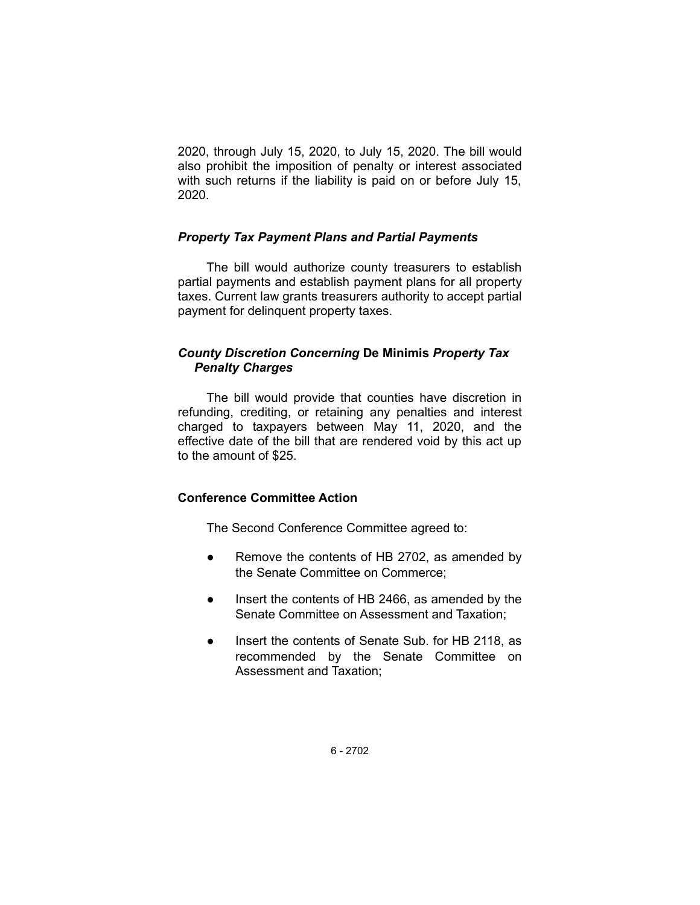2020, through July 15, 2020, to July 15, 2020. The bill would also prohibit the imposition of penalty or interest associated with such returns if the liability is paid on or before July 15, 2020.

### *Property Tax Payment Plans and Partial Payments*

The bill would authorize county treasurers to establish partial payments and establish payment plans for all property taxes. Current law grants treasurers authority to accept partial payment for delinquent property taxes.

# *County Discretion Concerning* **De Minimis** *Property Tax Penalty Charges*

The bill would provide that counties have discretion in refunding, crediting, or retaining any penalties and interest charged to taxpayers between May 11, 2020, and the effective date of the bill that are rendered void by this act up to the amount of \$25.

# **Conference Committee Action**

The Second Conference Committee agreed to:

- Remove the contents of HB 2702, as amended by the Senate Committee on Commerce;
- Insert the contents of HB 2466, as amended by the Senate Committee on Assessment and Taxation;
- Insert the contents of Senate Sub. for HB 2118, as recommended by the Senate Committee on Assessment and Taxation;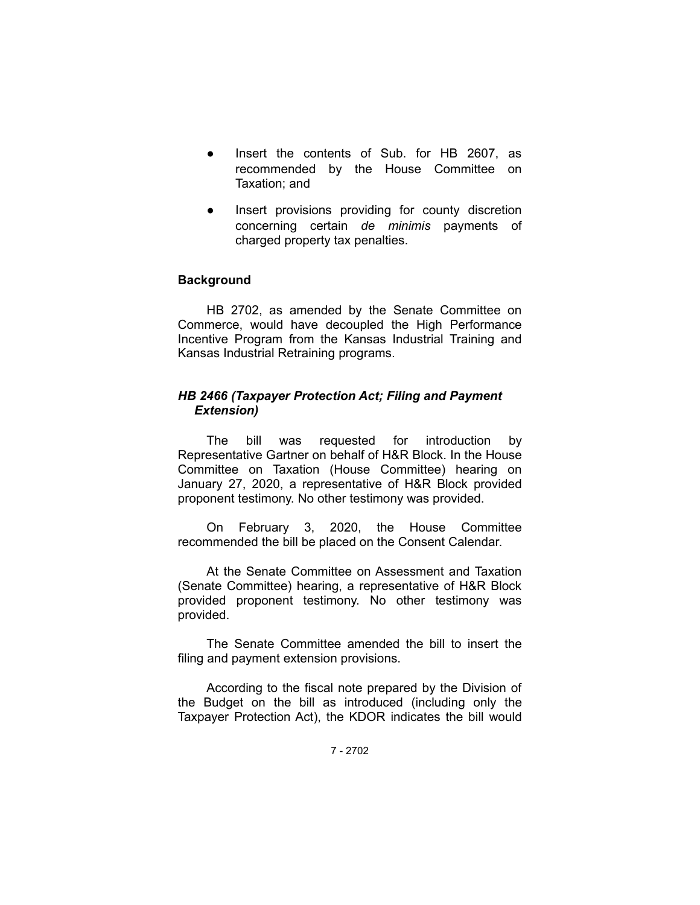- Insert the contents of Sub. for HB 2607, as recommended by the House Committee on Taxation; and
- Insert provisions providing for county discretion concerning certain *de minimis* payments of charged property tax penalties.

### **Background**

HB 2702, as amended by the Senate Committee on Commerce, would have decoupled the High Performance Incentive Program from the Kansas Industrial Training and Kansas Industrial Retraining programs.

### *HB 2466 (Taxpayer Protection Act; Filing and Payment Extension)*

The bill was requested for introduction by Representative Gartner on behalf of H&R Block. In the House Committee on Taxation (House Committee) hearing on January 27, 2020, a representative of H&R Block provided proponent testimony. No other testimony was provided.

On February 3, 2020, the House Committee recommended the bill be placed on the Consent Calendar.

At the Senate Committee on Assessment and Taxation (Senate Committee) hearing, a representative of H&R Block provided proponent testimony. No other testimony was provided.

The Senate Committee amended the bill to insert the filing and payment extension provisions.

According to the fiscal note prepared by the Division of the Budget on the bill as introduced (including only the Taxpayer Protection Act), the KDOR indicates the bill would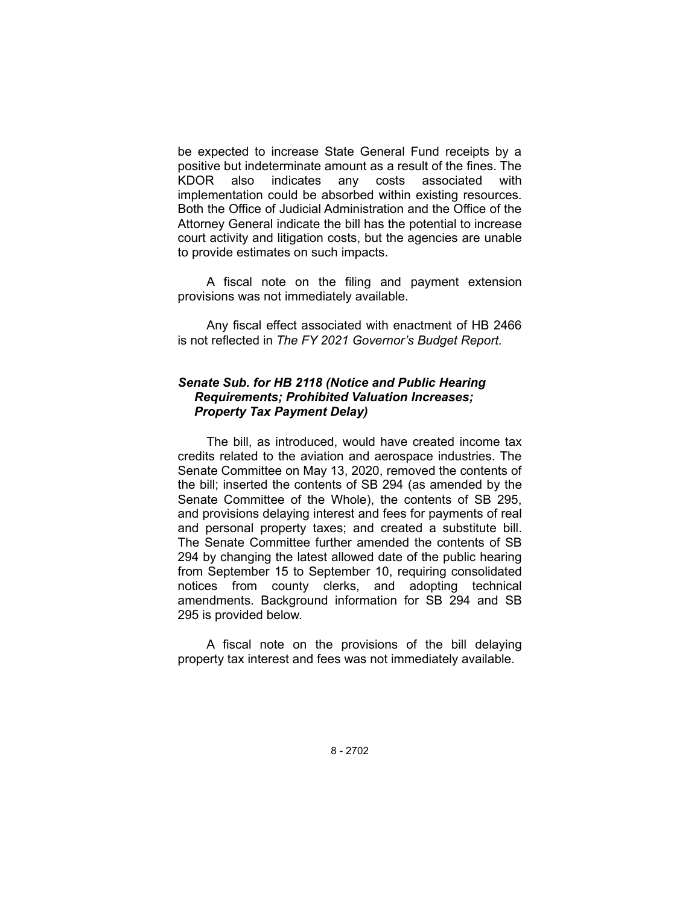be expected to increase State General Fund receipts by a positive but indeterminate amount as a result of the fines. The KDOR also indicates any costs associated with implementation could be absorbed within existing resources. Both the Office of Judicial Administration and the Office of the Attorney General indicate the bill has the potential to increase court activity and litigation costs, but the agencies are unable to provide estimates on such impacts.

A fiscal note on the filing and payment extension provisions was not immediately available.

Any fiscal effect associated with enactment of HB 2466 is not reflected in *The FY 2021 Governor's Budget Report*.

## *Senate Sub. for HB 2118 (Notice and Public Hearing Requirements; Prohibited Valuation Increases; Property Tax Payment Delay)*

The bill, as introduced, would have created income tax credits related to the aviation and aerospace industries. The Senate Committee on May 13, 2020, removed the contents of the bill; inserted the contents of SB 294 (as amended by the Senate Committee of the Whole), the contents of SB 295, and provisions delaying interest and fees for payments of real and personal property taxes; and created a substitute bill. The Senate Committee further amended the contents of SB 294 by changing the latest allowed date of the public hearing from September 15 to September 10, requiring consolidated notices from county clerks, and adopting technical amendments. Background information for SB 294 and SB 295 is provided below.

A fiscal note on the provisions of the bill delaying property tax interest and fees was not immediately available.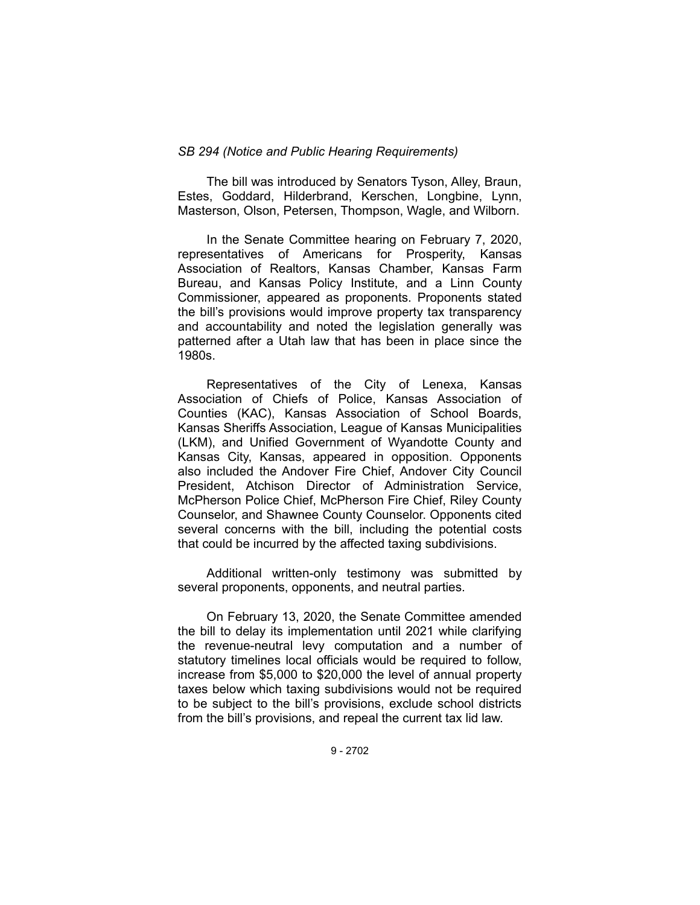### *SB 294 (Notice and Public Hearing Requirements)*

The bill was introduced by Senators Tyson, Alley, Braun, Estes, Goddard, Hilderbrand, Kerschen, Longbine, Lynn, Masterson, Olson, Petersen, Thompson, Wagle, and Wilborn.

In the Senate Committee hearing on February 7, 2020, representatives of Americans for Prosperity, Kansas Association of Realtors, Kansas Chamber, Kansas Farm Bureau, and Kansas Policy Institute, and a Linn County Commissioner, appeared as proponents. Proponents stated the bill's provisions would improve property tax transparency and accountability and noted the legislation generally was patterned after a Utah law that has been in place since the 1980s.

Representatives of the City of Lenexa, Kansas Association of Chiefs of Police, Kansas Association of Counties (KAC), Kansas Association of School Boards, Kansas Sheriffs Association, League of Kansas Municipalities (LKM), and Unified Government of Wyandotte County and Kansas City, Kansas, appeared in opposition. Opponents also included the Andover Fire Chief, Andover City Council President, Atchison Director of Administration Service, McPherson Police Chief, McPherson Fire Chief, Riley County Counselor, and Shawnee County Counselor. Opponents cited several concerns with the bill, including the potential costs that could be incurred by the affected taxing subdivisions.

Additional written-only testimony was submitted by several proponents, opponents, and neutral parties.

On February 13, 2020, the Senate Committee amended the bill to delay its implementation until 2021 while clarifying the revenue-neutral levy computation and a number of statutory timelines local officials would be required to follow, increase from \$5,000 to \$20,000 the level of annual property taxes below which taxing subdivisions would not be required to be subject to the bill's provisions, exclude school districts from the bill's provisions, and repeal the current tax lid law.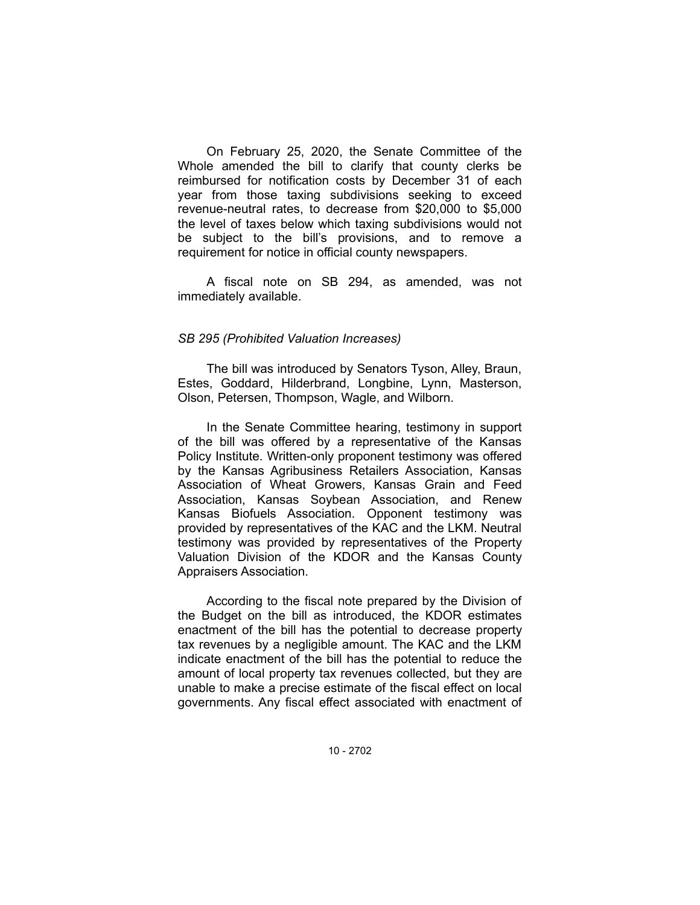On February 25, 2020, the Senate Committee of the Whole amended the bill to clarify that county clerks be reimbursed for notification costs by December 31 of each year from those taxing subdivisions seeking to exceed revenue-neutral rates, to decrease from \$20,000 to \$5,000 the level of taxes below which taxing subdivisions would not be subject to the bill's provisions, and to remove a requirement for notice in official county newspapers.

A fiscal note on SB 294, as amended, was not immediately available.

### *SB 295 (Prohibited Valuation Increases)*

The bill was introduced by Senators Tyson, Alley, Braun, Estes, Goddard, Hilderbrand, Longbine, Lynn, Masterson, Olson, Petersen, Thompson, Wagle, and Wilborn.

In the Senate Committee hearing, testimony in support of the bill was offered by a representative of the Kansas Policy Institute. Written-only proponent testimony was offered by the Kansas Agribusiness Retailers Association, Kansas Association of Wheat Growers, Kansas Grain and Feed Association, Kansas Soybean Association, and Renew Kansas Biofuels Association. Opponent testimony was provided by representatives of the KAC and the LKM. Neutral testimony was provided by representatives of the Property Valuation Division of the KDOR and the Kansas County Appraisers Association.

According to the fiscal note prepared by the Division of the Budget on the bill as introduced, the KDOR estimates enactment of the bill has the potential to decrease property tax revenues by a negligible amount. The KAC and the LKM indicate enactment of the bill has the potential to reduce the amount of local property tax revenues collected, but they are unable to make a precise estimate of the fiscal effect on local governments. Any fiscal effect associated with enactment of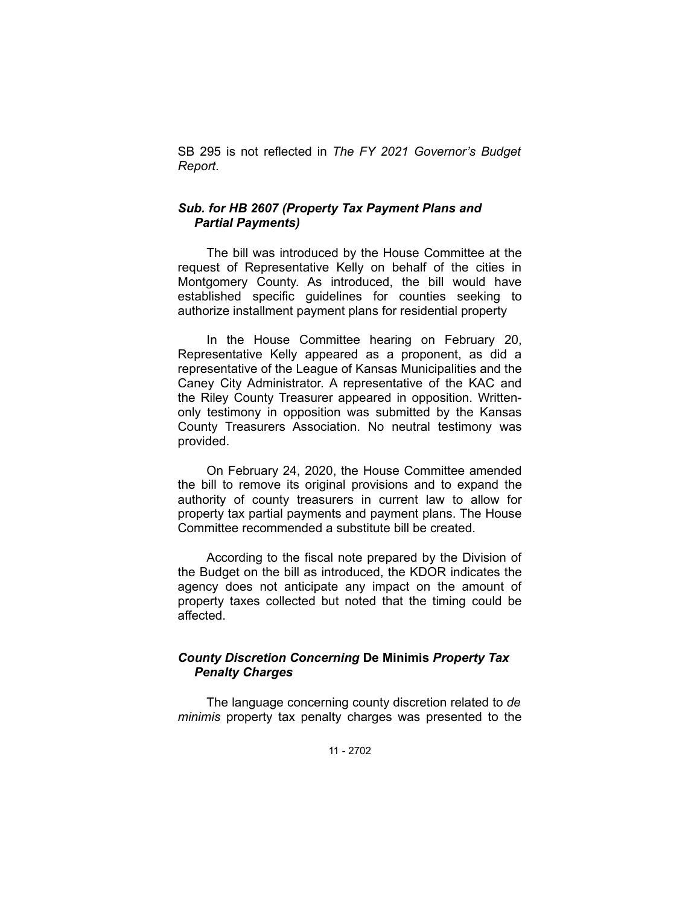SB 295 is not reflected in *The FY 2021 Governor's Budget Report*.

## *Sub. for HB 2607 (Property Tax Payment Plans and Partial Payments)*

The bill was introduced by the House Committee at the request of Representative Kelly on behalf of the cities in Montgomery County. As introduced, the bill would have established specific guidelines for counties seeking to authorize installment payment plans for residential property

In the House Committee hearing on February 20, Representative Kelly appeared as a proponent, as did a representative of the League of Kansas Municipalities and the Caney City Administrator. A representative of the KAC and the Riley County Treasurer appeared in opposition. Writtenonly testimony in opposition was submitted by the Kansas County Treasurers Association. No neutral testimony was provided.

On February 24, 2020, the House Committee amended the bill to remove its original provisions and to expand the authority of county treasurers in current law to allow for property tax partial payments and payment plans. The House Committee recommended a substitute bill be created.

According to the fiscal note prepared by the Division of the Budget on the bill as introduced, the KDOR indicates the agency does not anticipate any impact on the amount of property taxes collected but noted that the timing could be affected.

# *County Discretion Concerning* **De Minimis** *Property Tax Penalty Charges*

The language concerning county discretion related to *de minimis* property tax penalty charges was presented to the